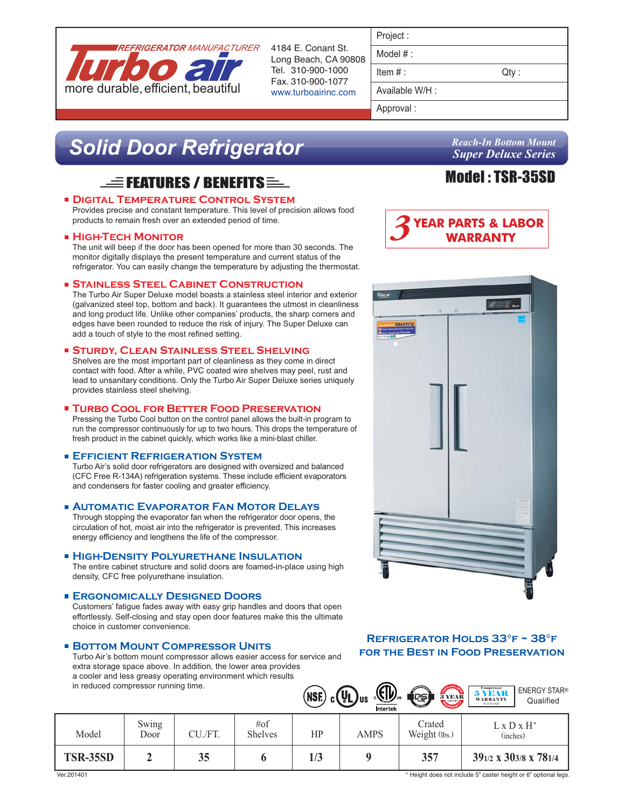

4184 E. Conant St. Long Beach, CA 90808 Tel. 310-900-1000 Fax. 310-900-1077 www.turboairinc.com

| rolect |  |
|--------|--|
|        |  |

Model # :

 $Item #:$  Qty :

Available W/H :

Approval :

# *Solid Door Refrigerator*

# $\equiv$  Features / Benefits  $\equiv$

# **Digital Temperature Control System**

Provides precise and constant temperature. This level of precision allows food products to remain fresh over an extended period of time.

# **High-Tech Monitor**

The unit will beep if the door has been opened for more than 30 seconds. The monitor digitally displays the present temperature and current status of the refrigerator. You can easily change the temperature by adjusting the thermostat.

# **Stainless Steel Cabinet Construction**

The Turbo Air Super Deluxe model boasts a stainless steel interior and exterior (galvanized steel top, bottom and back). It guarantees the utmost in cleanliness and long product life. Unlike other companies' products, the sharp corners and edges have been rounded to reduce the risk of injury. The Super Deluxe can add a touch of style to the most refined setting.

#### **Sturdy, Clean Stainless Steel Shelving**

Shelves are the most important part of cleanliness as they come in direct contact with food. After a while, PVC coated wire shelves may peel, rust and lead to unsanitary conditions. Only the Turbo Air Super Deluxe series uniquely provides stainless steel shelving.

#### **Turbo Cool for Better Food Preservation**

Pressing the Turbo Cool button on the control panel allows the built-in program to run the compressor continuously for up to two hours. This drops the temperature of fresh product in the cabinet quickly, which works like a mini-blast chiller.

# **Efficient Refrigeration System**

Turbo Air's solid door refrigerators are designed with oversized and balanced (CFC Free R-134A) refrigeration systems. These include efficient evaporators and condensers for faster cooling and greater efficiency.

# **Automatic Evaporator Fan Motor Delays**

Through stopping the evaporator fan when the refrigerator door opens, the circulation of hot, moist air into the refrigerator is prevented. This increases energy efficiency and lengthens the life of the compressor.

#### **HIGH-DENSITY POLYURETHANE INSULATION**

The entire cabinet structure and solid doors are foamed-in-place using high density, CFC free polyurethane insulation.

# **Ergonomically Designed Doors**

Customers' fatigue fades away with easy grip handles and doors that open effortlessly. Self-closing and stay open door features make this the ultimate choice in customer convenience.

# **BOTTOM MOUNT COMPRESSOR UNITS**

Turbo Air's bottom mount compressor allows easier access for service and extra storage space above. In addition, the lower area provides a cooler and less greasy operating environment which results in reduced compressor running time.

*Reach-In Bottom Mount Super Deluxe Series*

# Model : TSR-35SD





# **Refrigerator Holds 33°f ~ 38°f for the Best in Food Preservation**

|                          | Swing |               | #of            | $(MSE)$ $_c$ $(U_L)$ us | $\underline{\mathbb{E}}$ $\underline{\mathbb{E}}$<br>Intertek | 3 YEAR<br>Crated     | $\underset{{\text{WARRANTY}}}{\text{5} \text{ VERANT}}$<br>$L \times D \times H^*$ |  |
|--------------------------|-------|---------------|----------------|-------------------------|---------------------------------------------------------------|----------------------|------------------------------------------------------------------------------------|--|
| Model<br><b>TSR-35SD</b> | Door  | CU./FT.<br>35 | <b>Shelves</b> | HP<br>1/3               | <b>AMPS</b>                                                   | Weight (lbs.)<br>357 | (inches)<br>391/2 x 303/8 x 781/4                                                  |  |

\* Height does not include 5" caster height or 6" optional legs.